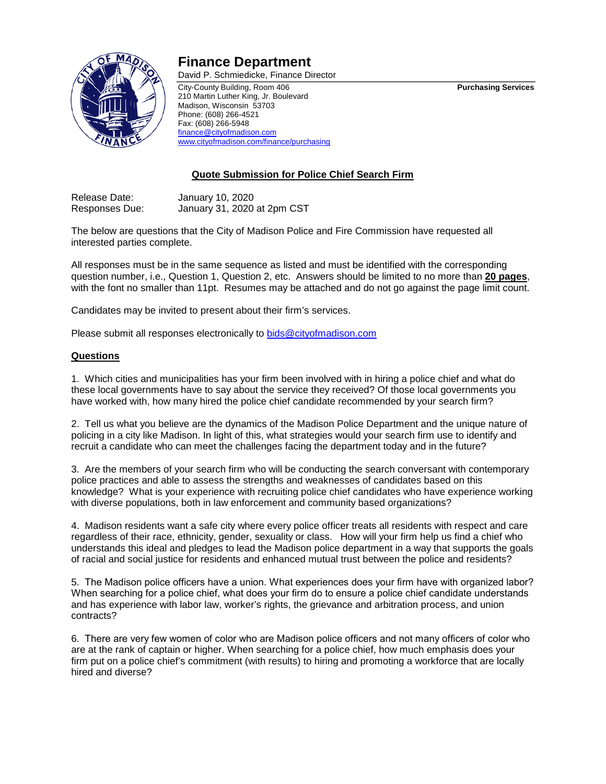

## **Finance Department**

David P. Schmiedicke, Finance Director

City-County Building, Room 406 **Purchasing Services** 210 Martin Luther King, Jr. Boulevard Madison, Wisconsin 53703 Phone: (608) 266-4521 Fax: (608) 266-5948 [finance@cityofmadison.com](mailto:finance@cityofmadison.com) [www.cityofmadison.com/finance/purchasing](http://www.cityofmadison.com/finance/purchasing)

## **Quote Submission for Police Chief Search Firm**

Release Date: January 10, 2020 Responses Due: January 31, 2020 at 2pm CST

The below are questions that the City of Madison Police and Fire Commission have requested all interested parties complete.

All responses must be in the same sequence as listed and must be identified with the corresponding question number, i.e., Question 1, Question 2, etc. Answers should be limited to no more than **20 pages**, with the font no smaller than 11pt. Resumes may be attached and do not go against the page limit count.

Candidates may be invited to present about their firm's services.

Please submit all responses electronically t[o bids@cityofmadison.com](mailto:bids@cityofmadison.com)

## **Questions**

1. Which cities and municipalities has your firm been involved with in hiring a police chief and what do these local governments have to say about the service they received? Of those local governments you have worked with, how many hired the police chief candidate recommended by your search firm?

2. Tell us what you believe are the dynamics of the Madison Police Department and the unique nature of policing in a city like Madison. In light of this, what strategies would your search firm use to identify and recruit a candidate who can meet the challenges facing the department today and in the future?

3. Are the members of your search firm who will be conducting the search conversant with contemporary police practices and able to assess the strengths and weaknesses of candidates based on this knowledge? What is your experience with recruiting police chief candidates who have experience working with diverse populations, both in law enforcement and community based organizations?

4. Madison residents want a safe city where every police officer treats all residents with respect and care regardless of their race, ethnicity, gender, sexuality or class. How will your firm help us find a chief who understands this ideal and pledges to lead the Madison police department in a way that supports the goals of racial and social justice for residents and enhanced mutual trust between the police and residents?

5. The Madison police officers have a union. What experiences does your firm have with organized labor? When searching for a police chief, what does your firm do to ensure a police chief candidate understands and has experience with labor law, worker's rights, the grievance and arbitration process, and union contracts?

6. There are very few women of color who are Madison police officers and not many officers of color who are at the rank of captain or higher. When searching for a police chief, how much emphasis does your firm put on a police chief's commitment (with results) to hiring and promoting a workforce that are locally hired and diverse?